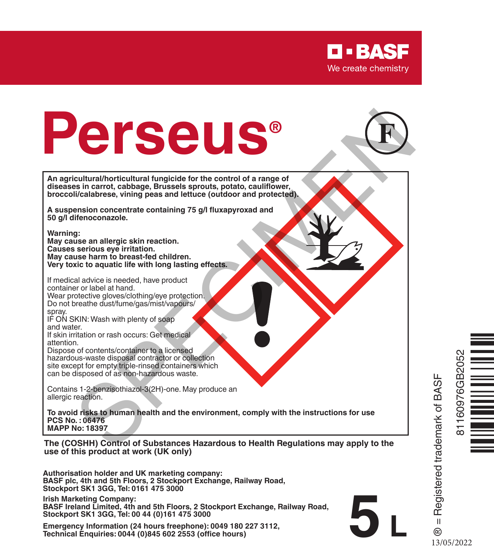

# **Perseus® Special Special Special Special Special Special Special Special Special Special Special Special Special Special Special Special Special Special Special Special Special Special Special Special Special Special Special Speci**



**An agricultural/horticultural fungicide for the control of a range of diseases in carrot, cabbage, Brussels sprouts, potato, cauliflower, broccoli/calabrese, vining peas and lettuce (outdoor and protected).**

**A suspension concentrate containing 75 g/l fluxapyroxad and 50 g/l difenoconazole.**

**Warning:**

**May cause an allergic skin reaction. Causes serious eye irritation. May cause harm to breast-fed children. Very toxic to aquatic life with long lasting effects.**

If medical advice is needed, have product container or label at hand. Wear protective gloves/clothing/eye protection. Do not breathe dust/fume/gas/mist/vapours/ spray.

IF ON SKIN: Wash with plenty of soap and water.

If skin irritation or rash occurs: Get medical attention.

Dispose of contents/container to a licensed hazardous-waste disposal contractor or collection site except for empty triple-rinsed containers which can be disposed of as non-hazardous waste.

Contains 1-2-benzisothiazol-3(2H)-one. May produce an allergic reaction.

**To avoid risks to human health and the environment, comply with the instructions for use PCS No. : 06476 MAPP No: 18397**

**The (COSHH) Control of Substances Hazardous to Health Regulations may apply to the use of this product at work (UK only)**

**Authorisation holder and UK marketing company: BASF plc, 4th and 5th Floors, 2 Stockport Exchange, Railway Road, Stockport SK1 3GG, Tel: 0161 475 3000**

**Irish Marketing Company: BASF Ireland Limited, 4th and 5th Floors, 2 Stockport Exchange, Railway Road, Stockport SK1 3GG, Tel: 00 44 (0)161 475 3000**

**Emergency Information (24 hours freephone): 0049 180 227 3112, Technical Enquiries: 0044 (0)845 602 2553 (office hours)**



® = Registered trademark of BASF

 $\mathbf{u}$ ര

**5 L**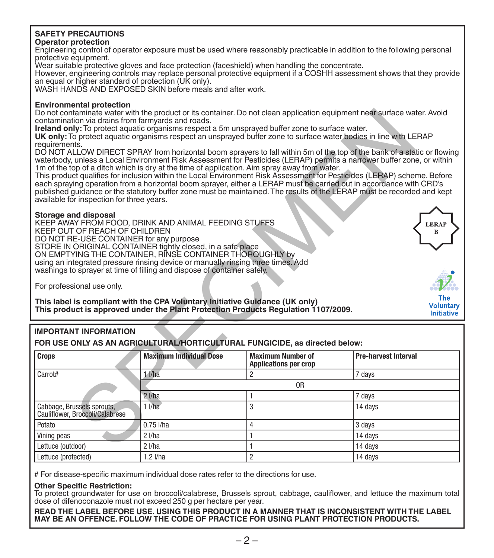### **SAFETY PRECAUTIONS**

### **Operator protection**

Engineering control of operator exposure must be used where reasonably practicable in addition to the following personal protective equipment.

Wear suitable protective gloves and face protection (faceshield) when handling the concentrate.

However, engineering controls may replace personal protective equipment if a COSHH assessment shows that they provide an equal or higher standard of protection (UK only).

WASH HANDS AND EXPOSED SKIN before meals and after work.

### **Environmental protection**

### **Storage and disposal**

### **IMPORTANT INFORMATION**

|                                                                                                                                                                                                                                                                                                                                                                                                                                                                                                                                                                                                                                                                                                                                                                                             | Do not contaminate water with the product or its container. Do not clean application equipment near surface water. Avoid<br>contamination via drains from farmyards and roads.<br>Ireland only: To protect aquatic organisms respect a 5m unsprayed buffer zone to surface water.<br>UK only. To protect aquatic organisms respect an unsprayed buffer zone to surface water bodies in line with LERAP |                                                          |                             |  |  |  |  |
|---------------------------------------------------------------------------------------------------------------------------------------------------------------------------------------------------------------------------------------------------------------------------------------------------------------------------------------------------------------------------------------------------------------------------------------------------------------------------------------------------------------------------------------------------------------------------------------------------------------------------------------------------------------------------------------------------------------------------------------------------------------------------------------------|--------------------------------------------------------------------------------------------------------------------------------------------------------------------------------------------------------------------------------------------------------------------------------------------------------------------------------------------------------------------------------------------------------|----------------------------------------------------------|-----------------------------|--|--|--|--|
| requirements.<br>DO NOT ALLOW DIRECT SPRAY from horizontal boom sprayers to fall within 5m of the top of the bank of a static or flowing<br>waterbody, unless a Local Environment Risk Assessment for Pesticides (LERAP) permits a narrower buffer zone, or within<br>1m of the top of a ditch which is dry at the time of application. Aim spray away from water.<br>This product qualifies for inclusion within the Local Environment Risk Assessment for Pesticides (LERAP) scheme. Before<br>each spraying operation from a horizontal boom sprayer, either a LERAP must be carried out in accordance with CRD's<br>published quidance or the statutory buffer zone must be maintained. The results of the LERAP must be recorded and kept<br>available for inspection for three years. |                                                                                                                                                                                                                                                                                                                                                                                                        |                                                          |                             |  |  |  |  |
| Storage and disposal<br>KEEP AWAY FROM FOOD, DRINK AND ANIMAL FEEDING STUFFS<br>KEEP OUT OF REACH OF CHILDREN<br>DO NOT RE-USE CONTAINER for any purpose<br>STORE IN ORIGINAL CONTAINER tightly closed, in a safe place<br>ON EMPTYING THE CONTAINER, RINSE CONTAINER THOROUGHLY by<br>using an integrated pressure rinsing device or manually rinsing three times. Add<br>washings to sprayer at time of filling and dispose of container safely.<br>For professional use only.                                                                                                                                                                                                                                                                                                            |                                                                                                                                                                                                                                                                                                                                                                                                        |                                                          | <b>LERAP</b><br>B<br>The    |  |  |  |  |
| This label is compliant with the CPA Voluntary Initiative Guidance (UK only)<br><b>Voluntary</b><br>This product is approved under the Plant Protection Products Regulation 1107/2009.<br><b>Initiative</b>                                                                                                                                                                                                                                                                                                                                                                                                                                                                                                                                                                                 |                                                                                                                                                                                                                                                                                                                                                                                                        |                                                          |                             |  |  |  |  |
| <b>IMPORTANT INFORMATION</b><br>FOR USE ONLY AS AN AGRICULTURAL/HORTICULTURAL FUNGICIDE, as directed below:                                                                                                                                                                                                                                                                                                                                                                                                                                                                                                                                                                                                                                                                                 |                                                                                                                                                                                                                                                                                                                                                                                                        |                                                          |                             |  |  |  |  |
| <b>Crops</b>                                                                                                                                                                                                                                                                                                                                                                                                                                                                                                                                                                                                                                                                                                                                                                                | <b>Maximum Individual Dose</b>                                                                                                                                                                                                                                                                                                                                                                         | <b>Maximum Number of</b><br><b>Applications per crop</b> | <b>Pre-harvest Interval</b> |  |  |  |  |
| Carrot#                                                                                                                                                                                                                                                                                                                                                                                                                                                                                                                                                                                                                                                                                                                                                                                     | $1$ $1$ /ha                                                                                                                                                                                                                                                                                                                                                                                            | $\overline{c}$                                           | 7 days                      |  |  |  |  |
|                                                                                                                                                                                                                                                                                                                                                                                                                                                                                                                                                                                                                                                                                                                                                                                             | 0 <sub>R</sub>                                                                                                                                                                                                                                                                                                                                                                                         |                                                          |                             |  |  |  |  |
|                                                                                                                                                                                                                                                                                                                                                                                                                                                                                                                                                                                                                                                                                                                                                                                             | $2$ $1/ha$                                                                                                                                                                                                                                                                                                                                                                                             | 1                                                        | 7 days                      |  |  |  |  |
| Cabbage, Brussels sprouts,<br>Cauliflower, Broccoli/Calabrese                                                                                                                                                                                                                                                                                                                                                                                                                                                                                                                                                                                                                                                                                                                               | 11/ha                                                                                                                                                                                                                                                                                                                                                                                                  | 3                                                        | 14 days                     |  |  |  |  |
| Potato                                                                                                                                                                                                                                                                                                                                                                                                                                                                                                                                                                                                                                                                                                                                                                                      | 0.75 l/ha                                                                                                                                                                                                                                                                                                                                                                                              | 4                                                        | 3 days                      |  |  |  |  |
| Vining peas                                                                                                                                                                                                                                                                                                                                                                                                                                                                                                                                                                                                                                                                                                                                                                                 | $2$ $1/ha$                                                                                                                                                                                                                                                                                                                                                                                             | 1                                                        | 14 days                     |  |  |  |  |
| Lettuce (outdoor)                                                                                                                                                                                                                                                                                                                                                                                                                                                                                                                                                                                                                                                                                                                                                                           | $2$ $1/ha$                                                                                                                                                                                                                                                                                                                                                                                             | 1                                                        | 14 days                     |  |  |  |  |
| Lettuce (protected)                                                                                                                                                                                                                                                                                                                                                                                                                                                                                                                                                                                                                                                                                                                                                                         | $1.2$ $I/ha$                                                                                                                                                                                                                                                                                                                                                                                           | $\overline{c}$                                           | 14 days                     |  |  |  |  |

# For disease-specific maximum individual dose rates refer to the directions for use.

### **Other Specific Restriction:**

To protect groundwater for use on broccoli/calabrese, Brussels sprout, cabbage, cauliflower, and lettuce the maximum total dose of difenoconazole must not exceed 250 g per hectare per year.

**READ THE LABEL BEFORE USE. USING THIS PRODUCT IN A MANNER THAT IS INCONSISTENT WITH THE LABEL MAY BE AN OFFENCE. FOLLOW THE CODE OF PRACTICE FOR USING PLANT PROTECTION PRODUCTS.**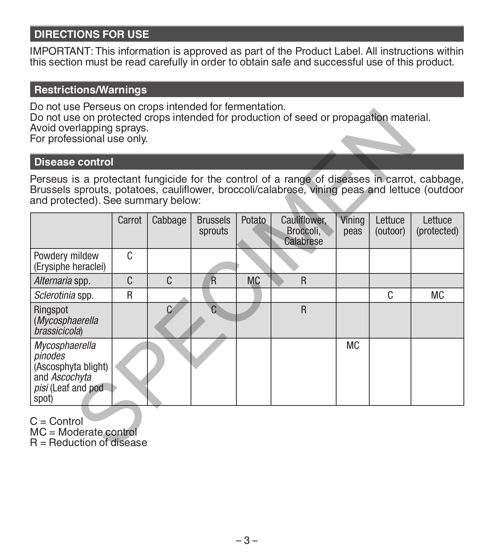# **DIRECTIONS FOR USE**

IMPORTANT: This information is approved as part of the Product Label. All instructions within this section must be read carefully in order to obtain safe and successful use of this product.

# **Restrictions/Warnings**

Do not use Perseus on crops intended for fermentation. Do not use on protected crops intended for production of seed or propagation material. Avoid overlapping sprays. For professional use only.

### **Disease control**

| Do not doc't clocdo on clops intended for fermentation.<br>Do not use on protected crops intended for production of seed or propagation material.<br>Avoid overlapping sprays.<br>For professional use only.                        |        |               |                            |           |                                        |                |                     |                        |
|-------------------------------------------------------------------------------------------------------------------------------------------------------------------------------------------------------------------------------------|--------|---------------|----------------------------|-----------|----------------------------------------|----------------|---------------------|------------------------|
| Disease control                                                                                                                                                                                                                     |        |               |                            |           |                                        |                |                     |                        |
| Perseus is a protectant fungicide for the control of a range of diseases in carrot, cabbage,<br>Brussels sprouts, potatoes, cauliflower, broccoli/calabrese, vining peas and lettuce (outdoor<br>and protected). See summary below: |        |               |                            |           |                                        |                |                     |                        |
|                                                                                                                                                                                                                                     | Carrot | Cabbage       | <b>Brussels</b><br>sprouts | Potato    | Cauliflower,<br>Broccoli,<br>Calabrese | Vining<br>peas | Lettuce<br>(outoor) | Lettuce<br>(protected) |
| Powdery mildew<br>(Erysiphe heraclei)                                                                                                                                                                                               | C      |               |                            |           |                                        |                |                     |                        |
| Alternaria spp.                                                                                                                                                                                                                     | C      | C             | $\overline{\mathsf{R}}$    | <b>MC</b> | R                                      |                |                     |                        |
| Sclerotinia spp.                                                                                                                                                                                                                    | R      |               |                            |           |                                        |                | C                   | <b>MC</b>              |
| Ringspot<br>(Mycosphaerella<br><i>brassicicola</i>                                                                                                                                                                                  |        | $\mathcal{C}$ | C                          |           | R                                      |                |                     |                        |
| Mycosphaerella<br>pinodes<br>(Ascosphyta blight)<br>and Ascochyta<br>pisi (Leaf and pod<br>spot)                                                                                                                                    |        |               |                            |           |                                        | <b>MC</b>      |                     |                        |
| $C =$ Control<br>$MC = Modelrate$ control<br>$R =$ Reduction of disease                                                                                                                                                             |        |               |                            |           |                                        |                |                     |                        |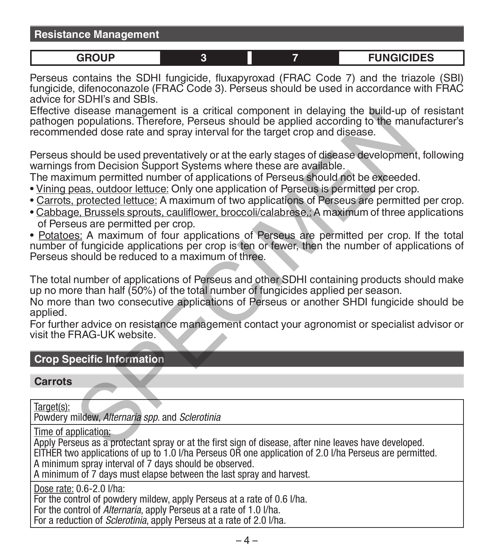| <b>Resistance Management</b> |  |
|------------------------------|--|
|------------------------------|--|

$$
f_{\rm{max}}
$$

**GROUP 3 7 FUNGICIDES**

Perseus contains the SDHI fungicide, fluxapyroxad (FRAC Code 7) and the triazole (SBI) fungicide, difenoconazole (FRAC Code 3). Perseus should be used in accordance with FRAC advice for SDHI's and SBIs.

Effective disease management is a critical component in delaying the build-up of resistant pathogen populations. Therefore, Perseus should be applied according to the manufacturer's recommended dose rate and spray interval for the target crop and disease.

Perseus should be used preventatively or at the early stages of disease development, following warnings from Decision Support Systems where these are available.

The maximum permitted number of applications of Perseus should not be exceeded.

- Vining peas, outdoor lettuce: Only one application of Perseus is permitted per crop.
- Carrots, protected lettuce: A maximum of two applications of Perseus are permitted per crop.
- Cabbage, Brussels sprouts, cauliflower, broccoli/calabrese,: A maximum of three applications of Perseus are permitted per crop.
- Potatoes: A maximum of four applications of Perseus are permitted per crop. If the total number of fungicide applications per crop is ten or fewer, then the number of applications of Perseus should be reduced to a maximum of three. disease management is a critical component in delaying the build-up oppulations. Therefore, Perseus should be applied according to the manded dose rate and spray interval for the target crop and disease.<br>Should be used pre

The total number of applications of Perseus and other SDHI containing products should make up no more than half (50%) of the total number of fungicides applied per season.

No more than two consecutive applications of Perseus or another SHDI fungicide should be applied.

For further advice on resistance management contact your agronomist or specialist advisor or visit the FRAG-UK website.

# **Crop Specific Information**

**Carrots**

Target(s): Powdery mildew, *Alternaria spp*. and *Sclerotinia*

Time of application:

Apply Perseus as a protectant spray or at the first sign of disease, after nine leaves have developed. EITHER two applications of up to 1.0 l/ha Perseus OR one application of 2.0 l/ha Perseus are permitted. A minimum spray interval of 7 days should be observed.

A minimum of 7 days must elapse between the last spray and harvest.

Dose rate: 0.6-2.0 l/ha:

For the control of powdery mildew, apply Perseus at a rate of 0.6 l/ha.

For the control of *Alternaria*, apply Perseus at a rate of 1.0 l/ha.

For a reduction of *Sclerotinia*, apply Perseus at a rate of 2.0 *Vha.*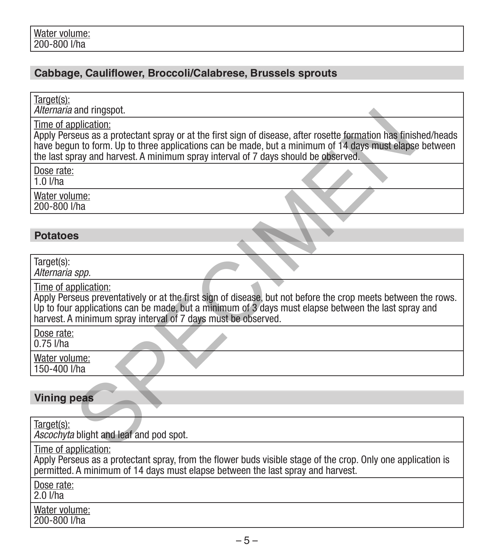# **Cabbage, Cauliflower, Broccoli/Calabrese, Brussels sprouts**

Target(s):

*Alternaria* and ringspot.

# **Potatoes**

| <i>Alternaria</i> and ringspot.                                                                                                                                                                                                                                                                                                         |  |  |  |  |
|-----------------------------------------------------------------------------------------------------------------------------------------------------------------------------------------------------------------------------------------------------------------------------------------------------------------------------------------|--|--|--|--|
| Time of application:<br>Apply Perseus as a protectant spray or at the first sign of disease, after rosette formation has finished/heads<br>have begun to form. Up to three applications can be made, but a minimum of 14 days must elapse between<br>the last spray and harvest. A minimum spray interval of 7 days should be observed. |  |  |  |  |
| Dose rate:<br>$1.0$ I/ha                                                                                                                                                                                                                                                                                                                |  |  |  |  |
| Water volume:<br>200-800 l/ha                                                                                                                                                                                                                                                                                                           |  |  |  |  |
|                                                                                                                                                                                                                                                                                                                                         |  |  |  |  |
| <b>Potatoes</b>                                                                                                                                                                                                                                                                                                                         |  |  |  |  |
| Target(s):<br>Alternaria spp.                                                                                                                                                                                                                                                                                                           |  |  |  |  |
| Time of application:<br>Apply Perseus preventatively or at the first sign of disease, but not before the crop meets between the rows.<br>Up to four applications can be made, but a minimum of 3 days must elapse between the last spray and<br>harvest. A minimum spray interval of 7 days must be observed.                           |  |  |  |  |
| Dose rate:<br>$0.75$ I/ha                                                                                                                                                                                                                                                                                                               |  |  |  |  |
| Water volume:<br>150-400 l/ha                                                                                                                                                                                                                                                                                                           |  |  |  |  |
|                                                                                                                                                                                                                                                                                                                                         |  |  |  |  |
| <b>Vining peas</b>                                                                                                                                                                                                                                                                                                                      |  |  |  |  |
| Target(s):<br>Ascochyta blight and leaf and pod spot.                                                                                                                                                                                                                                                                                   |  |  |  |  |
| Time of application:<br>Apply Perseus as a protectant spray, from the flower buds visible stage of the crop. Only one application is<br>permitted. A minimum of 14 days must elapse between the last spray and harvest.                                                                                                                 |  |  |  |  |
| Dose rate:<br>$2.0$ $\overline{1/ha}$                                                                                                                                                                                                                                                                                                   |  |  |  |  |
| Water volume:<br>200-800 l/ha                                                                                                                                                                                                                                                                                                           |  |  |  |  |
|                                                                                                                                                                                                                                                                                                                                         |  |  |  |  |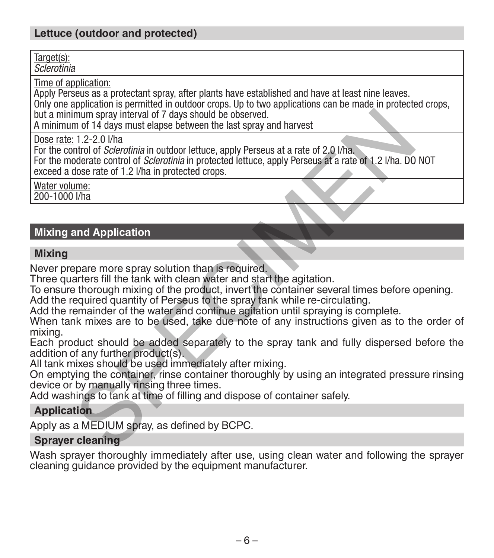# **Lettuce (outdoor and protected)**

Target(s): *Sclerotinia*

Time of application:

Apply Perseus as a protectant spray, after plants have established and have at least nine leaves.

Only one application is permitted in outdoor crops. Up to two applications can be made in protected crops, but a minimum spray interval of 7 days should be observed.

A minimum of 14 days must elapse between the last spray and harvest

Dose rate: 1.2-2.0 l/ha

For the control of *Sclerotinia* in outdoor lettuce, apply Perseus at a rate of 2.0 l/ha. For the moderate control of *Sclerotinia* in protected lettuce, apply Perseus at a rate of 1.2 l/ha. DO NOT exceed a dose rate of 1.2 l/ha in protected crops. mum spray interval of 7 days should be observed.<br>
In of 14 days must elapse between the last spray and harvest<br>
In 1.2-2.0 Uha<br>
Introd of *Sclerothina* in outdoor lettuce, apply Perseus at a rate of 2.0 Uha.<br>
Introd of *Sc* 

Water volume: 200-1000 l/ha

# **Mixing and Application**

### **Mixing**

Never prepare more spray solution than is required.

Three quarters fill the tank with clean water and start the agitation.

To ensure thorough mixing of the product, invert the container several times before opening. Add the required quantity of Perseus to the spray tank while re-circulating.

Add the remainder of the water and continue agitation until spraying is complete.

When tank mixes are to be used, take due note of any instructions given as to the order of mixing.

Each product should be added separately to the spray tank and fully dispersed before the addition of any further product(s).

All tank mixes should be used immediately after mixing.

On emptying the container, rinse container thoroughly by using an integrated pressure rinsing device or by manually rinsing three times.

Add washings to tank at time of filling and dispose of container safely.

### **Application**

Apply as a MEDIUM spray, as defined by BCPC.

### **Sprayer cleaning**

Wash sprayer thoroughly immediately after use, using clean water and following the sprayer cleaning guidance provided by the equipment manufacturer.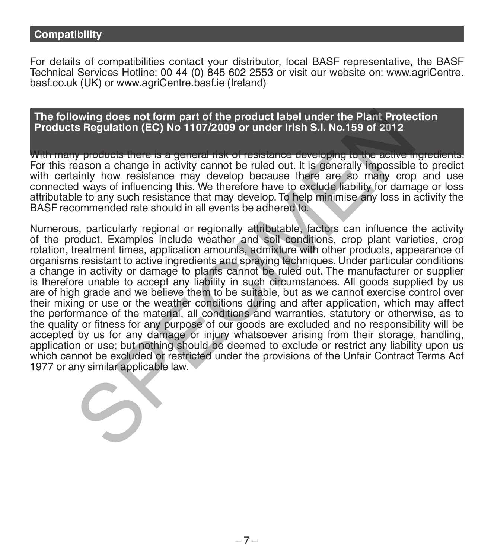## **Compatibility**

For details of compatibilities contact your distributor, local BASF representative, the BASF Technical Services Hotline: 00 44 (0) 845 602 2553 or visit our website on: www.agriCentre. basf.co.uk (UK) or www.agriCentre.basf.ie (Ireland)

**The following does not form part of the product label under the Plant Protection Products Regulation (EC) No 1107/2009 or under Irish S.I. No.159 of 2012**

With many products there is a general risk of resistance developing to the active ingredi For this reason a change in activity cannot be ruled out. It is generally impossible to predict with certainty how resistance may develop because there are so many crop and use<br>connected ways of influencing this. We therefore have to exclude liability for damage or loss attributable to any such resistance that may develop. To help minimise any loss in activity the BASF recommended rate should in all events be adhered to.

Numerous, particularly regional or regionally attributable, factors can influence the activity of the product. Examples include weather and soil conditions, crop plant varieties, crop rotation, treatment times, application amounts, admixture with other products, appearance of organisms resistant to active ingredients and spraying techniques. Under particular conditions a change in activity or damage to plants cannot be ruled out. The manufacturer or supplier is therefore unable to accept any liability in such circumstances. All goods supplied by us are of high grade and we believe them to be suitable, but as we cannot exercise control over their mixing or use or the weather conditions during and after application, which may affect the performance of the material, all conditions and warranties, statutory or otherwise, as to the quality or fitness for any purpose of our goods are excluded and no responsibility will be accepted by us for any damage or injury whatsoever arising from their storage, handling, application or use; but nothing should be deemed to exclude or restrict any liability upon us which cannot be excluded or restricted under the provisions of the Unfair Contract Terms Act 1977 or any similar applicable law. owing does not form part of the product label under the Plant Protects Regulation (EC) No 1107/2009 or under Irish S.I. No.159 of 2012<br>wy products there is a general risk of resistance developing to the active<br>asson a chan